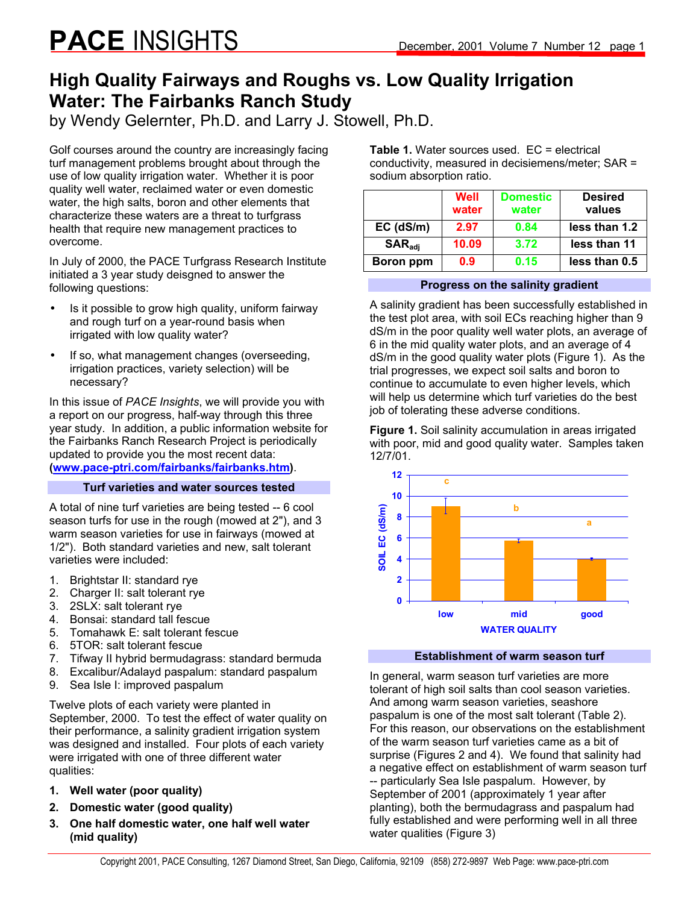# **High Quality Fairways and Roughs vs. Low Quality Irrigation Water: The Fairbanks Ranch Study**

by Wendy Gelernter, Ph.D. and Larry J. Stowell, Ph.D.

Golf courses around the country are increasingly facing turf management problems brought about through the use of low quality irrigation water. Whether it is poor quality well water, reclaimed water or even domestic water, the high salts, boron and other elements that characterize these waters are a threat to turfgrass health that require new management practices to overcome.

In July of 2000, the PACE Turfgrass Research Institute initiated a 3 year study deisgned to answer the following questions:

- Is it possible to grow high quality, uniform fairway and rough turf on a year-round basis when irrigated with low quality water?
- If so, what management changes (overseeding, irrigation practices, variety selection) will be necessary?

In this issue of *PACE Insights*, we will provide you with a report on our progress, half-way through this three year study. In addition, a public information website for the Fairbanks Ranch Research Project is periodically updated to provide you the most recent data: **(www.pace-ptri.com/fairbanks/fairbanks.htm)**.

### **Turf varieties and water sources tested**

A total of nine turf varieties are being tested -- 6 cool season turfs for use in the rough (mowed at 2"), and 3 warm season varieties for use in fairways (mowed at 1/2"). Both standard varieties and new, salt tolerant varieties were included:

- 1. Brightstar II: standard rye
- 2. Charger II: salt tolerant rye
- 3. 2SLX: salt tolerant rye
- 4. Bonsai: standard tall fescue
- 5. Tomahawk E: salt tolerant fescue
- 6. 5TOR: salt tolerant fescue
- 7. Tifway II hybrid bermudagrass: standard bermuda
- 8. Excalibur/Adalayd paspalum: standard paspalum
- 9. Sea Isle I: improved paspalum

Twelve plots of each variety were planted in September, 2000. To test the effect of water quality on their performance, a salinity gradient irrigation system was designed and installed. Four plots of each variety were irrigated with one of three different water qualities:

- **1. Well water (poor quality)**
- **2. Domestic water (good quality)**
- **3. One half domestic water, one half well water (mid quality)**

**Table 1.** Water sources used. EC = electrical conductivity, measured in decisiemens/meter; SAR = sodium absorption ratio.

|                             | Well<br>water | <b>Domestic</b><br>water | <b>Desired</b><br>values |
|-----------------------------|---------------|--------------------------|--------------------------|
| $EC$ (dS/m)                 | 2.97          | 0.84                     | less than 1.2            |
| $\mathsf{SAR}_\mathsf{adj}$ | 10.09         | 3.72                     | less than 11             |
| Boron ppm                   | 0.9           | 0.15                     | less than 0.5            |

**Progress on the salinity gradient** 

A salinity gradient has been successfully established in the test plot area, with soil ECs reaching higher than 9 dS/m in the poor quality well water plots, an average of 6 in the mid quality water plots, and an average of 4 dS/m in the good quality water plots (Figure 1). As the trial progresses, we expect soil salts and boron to continue to accumulate to even higher levels, which will help us determine which turf varieties do the best job of tolerating these adverse conditions.

**Figure 1.** Soil salinity accumulation in areas irrigated with poor, mid and good quality water. Samples taken 12/7/01.





In general, warm season turf varieties are more tolerant of high soil salts than cool season varieties. And among warm season varieties, seashore paspalum is one of the most salt tolerant (Table 2). For this reason, our observations on the establishment of the warm season turf varieties came as a bit of surprise (Figures 2 and 4). We found that salinity had a negative effect on establishment of warm season turf -- particularly Sea Isle paspalum. However, by September of 2001 (approximately 1 year after planting), both the bermudagrass and paspalum had fully established and were performing well in all three water qualities (Figure 3)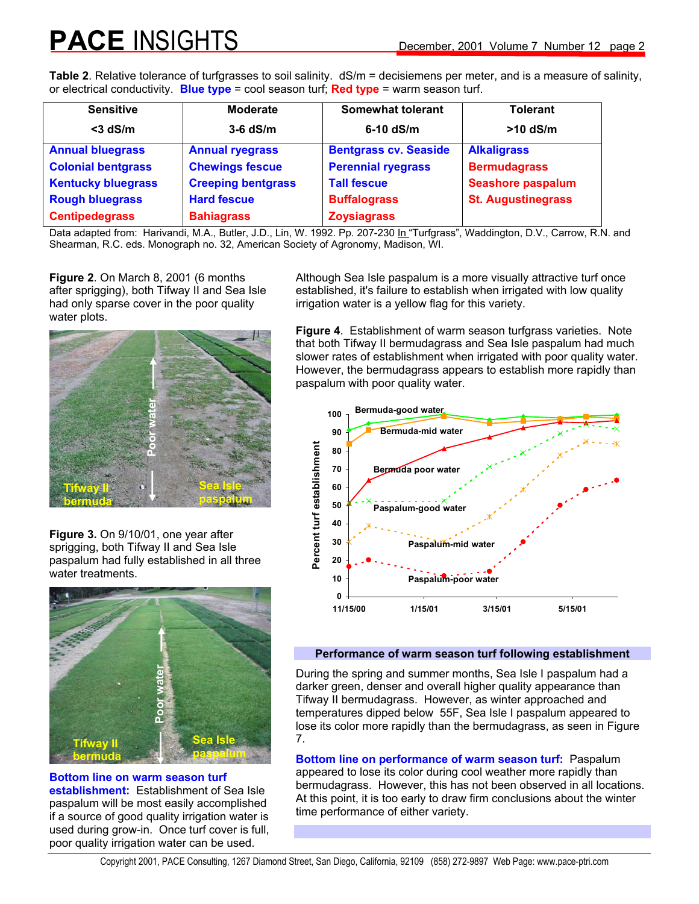**Table 2**. Relative tolerance of turfgrasses to soil salinity. dS/m = decisiemens per meter, and is a measure of salinity, or electrical conductivity. **Blue type** = cool season turf; **Red type** = warm season turf.

| <b>Sensitive</b>          | <b>Moderate</b>           | <b>Somewhat tolerant</b>     | <b>Tolerant</b>           |
|---------------------------|---------------------------|------------------------------|---------------------------|
| $<$ 3 dS/m                | $3-6$ dS/m                | $6-10$ dS/m                  | $>10$ dS/m                |
| <b>Annual bluegrass</b>   | <b>Annual ryegrass</b>    | <b>Bentgrass cv. Seaside</b> | <b>Alkaligrass</b>        |
| <b>Colonial bentgrass</b> | <b>Chewings fescue</b>    | <b>Perennial ryegrass</b>    | <b>Bermudagrass</b>       |
| <b>Kentucky bluegrass</b> | <b>Creeping bentgrass</b> | <b>Tall fescue</b>           | <b>Seashore paspalum</b>  |
| <b>Rough bluegrass</b>    | <b>Hard fescue</b>        | <b>Buffalograss</b>          | <b>St. Augustinegrass</b> |
| <b>Centipedegrass</b>     | <b>Bahiagrass</b>         | <b>Zoysiagrass</b>           |                           |

Data adapted from: Harivandi, M.A., Butler, J.D., Lin, W. 1992. Pp. 207-230 In "Turfgrass", Waddington, D.V., Carrow, R.N. and Shearman, R.C. eds. Monograph no. 32, American Society of Agronomy, Madison, WI.

**Figure 2**. On March 8, 2001 (6 months after sprigging), both Tifway II and Sea Isle had only sparse cover in the poor quality water plots.



**Figure 3.** On 9/10/01, one year after sprigging, both Tifway II and Sea Isle paspalum had fully established in all three water treatments.



**Bottom line on warm season turf establishment:** Establishment of Sea Isle paspalum will be most easily accomplished if a source of good quality irrigation water is used during grow-in. Once turf cover is full, poor quality irrigation water can be used.

Although Sea Isle paspalum is a more visually attractive turf once established, it's failure to establish when irrigated with low quality irrigation water is a yellow flag for this variety.

**Figure 4**. Establishment of warm season turfgrass varieties. Note that both Tifway II bermudagrass and Sea Isle paspalum had much slower rates of establishment when irrigated with poor quality water. However, the bermudagrass appears to establish more rapidly than paspalum with poor quality water.



# **Performance of warm season turf following establishment**

During the spring and summer months, Sea Isle I paspalum had a darker green, denser and overall higher quality appearance than Tifway II bermudagrass. However, as winter approached and temperatures dipped below 55F, Sea Isle I paspalum appeared to lose its color more rapidly than the bermudagrass, as seen in Figure 7.

**Bottom line on performance of warm season turf:** Paspalum appeared to lose its color during cool weather more rapidly than bermudagrass. However, this has not been observed in all locations. At this point, it is too early to draw firm conclusions about the winter time performance of either variety.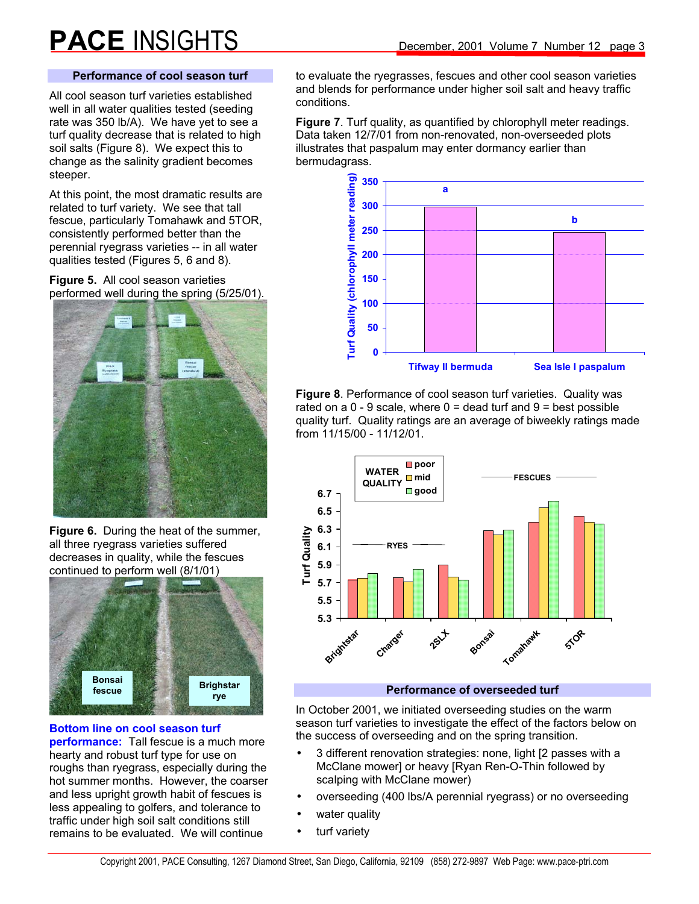# **Performance of cool season turf**

All cool season turf varieties established well in all water qualities tested (seeding rate was 350 lb/A). We have yet to see a turf quality decrease that is related to high soil salts (Figure 8). We expect this to change as the salinity gradient becomes steeper.

At this point, the most dramatic results are related to turf variety. We see that tall fescue, particularly Tomahawk and 5TOR, consistently performed better than the perennial ryegrass varieties -- in all water qualities tested (Figures 5, 6 and 8).

**Figure 5.** All cool season varieties performed well during the spring (5/25/01).



**Figure 6.** During the heat of the summer, all three ryegrass varieties suffered decreases in quality, while the fescues continued to perform well (8/1/01)



#### **Bottom line on cool season turf**

**performance:** Tall fescue is a much more hearty and robust turf type for use on roughs than ryegrass, especially during the hot summer months. However, the coarser and less upright growth habit of fescues is less appealing to golfers, and tolerance to traffic under high soil salt conditions still remains to be evaluated. We will continue

to evaluate the ryegrasses, fescues and other cool season varieties and blends for performance under higher soil salt and heavy traffic conditions.

**Figure 7**. Turf quality, as quantified by chlorophyll meter readings. Data taken 12/7/01 from non-renovated, non-overseeded plots illustrates that paspalum may enter dormancy earlier than bermudagrass.



**Figure 8**. Performance of cool season turf varieties. Quality was rated on a  $0 - 9$  scale, where  $0 =$  dead turf and  $9 =$  best possible quality turf. Quality ratings are an average of biweekly ratings made from 11/15/00 - 11/12/01.



### **Performance of overseeded turf**

In October 2001, we initiated overseeding studies on the warm season turf varieties to investigate the effect of the factors below on the success of overseeding and on the spring transition.

- 3 different renovation strategies: none, light [2 passes with a McClane mower] or heavy [Ryan Ren-O-Thin followed by scalping with McClane mower)
- overseeding (400 lbs/A perennial ryegrass) or no overseeding
- water quality
- turf variety